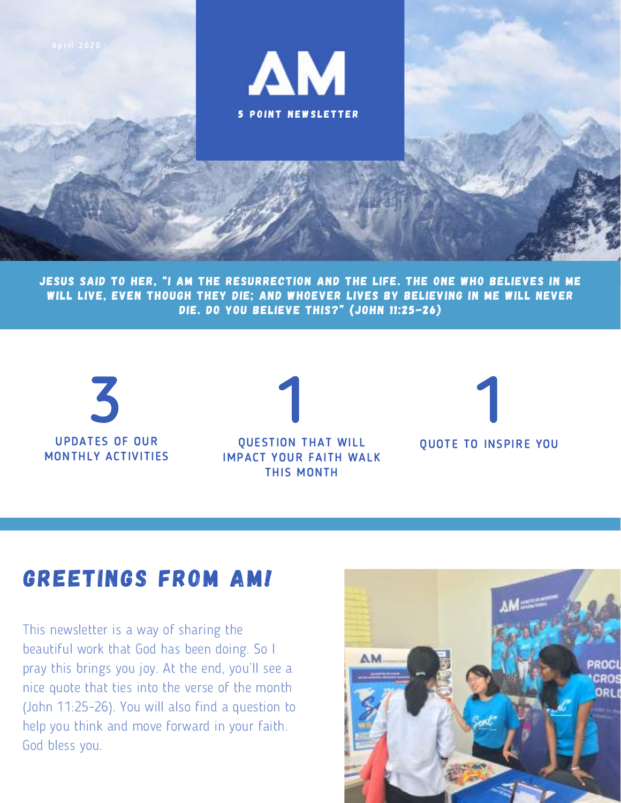

JESUS SAID TO HER, "I AM THE RESURRECTION AND THE LIFE. THE ONE WHO BELIEVES IN ME WILL LIVE, EVEN THOUGH THEY DIE; AND WHOEVER LIVES BY BELIEVING IN ME WILL NEVER DIE. DO YOU BELIEVE THIS?" (JOHN 11:25-26)



#### GREETINGS FROM AM!

This newsletter is a way of sharing the beautiful work that God has been doing. So I This newsletter is a way of sharing the<br>beautiful work that God has been doing. So I<br>pray this brings you joy. At the end, you'll see a nice quote that ties into the verse of the month (John 11:25-26). You will also find a question to help you think and move forward in your faith. God bless you.

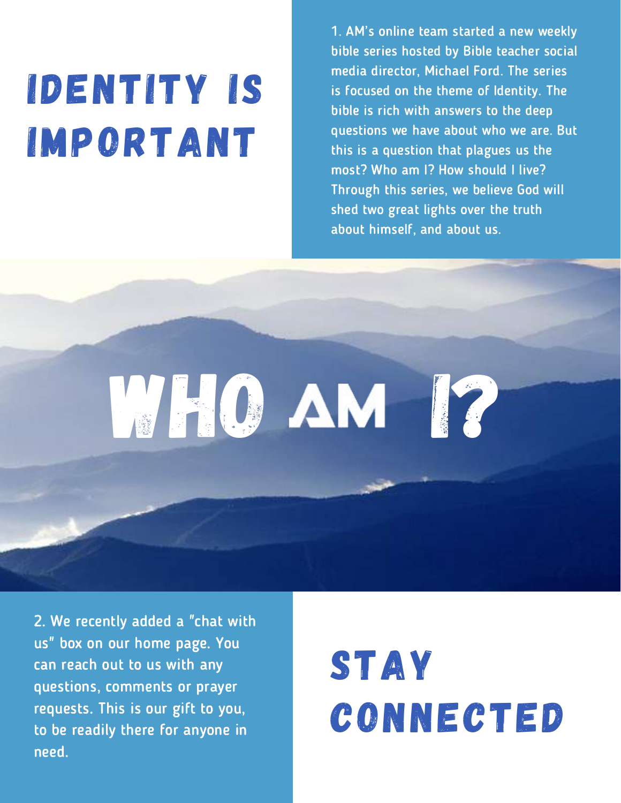# IDENTITY IS IMPORTANT

1. AM's online team started <sup>a</sup> new weekly bible series hosted by Bible teacher social media director, Michael Ford. The series is focused on the theme of Identity. The bible is rich with answers to the deep questions we have about who we are. But this is a question that plagues us the most? Who am I? How should I live? Through this series, we believe God will shed two great lights over the truth about himself, and about us.

2. We recently added a "chat with us" box on our home page. You can reach out to us with any questions, comments or prayer requests. This is our gift to you, to be readily there for anyone in need.

## STAY CONNECTED

WHO AM 12